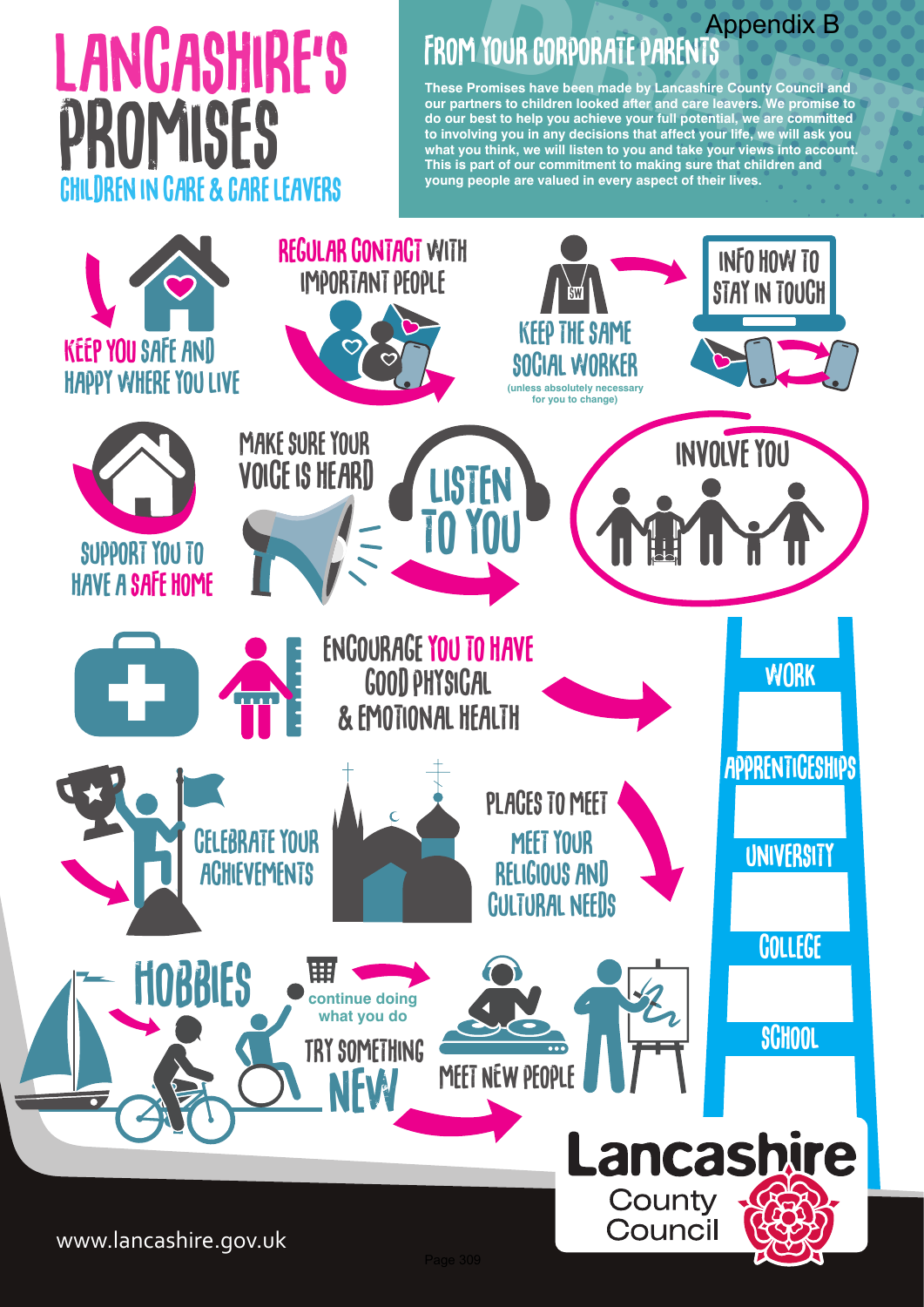**These Promises have been made by Lancashire County Council and our partners to children looked after and care leavers. We promise to do our best to help you achieve your full potential, we are committed to involving you in any decisions that affect your life, we will ask you what you think, we will listen to you and take your views into account. This is part of our commitment to making sure that children and young people are valued in every aspect of their lives. EXERCT APPENTS**<br> **EXERCT APPENTS**<br> **EXERCT APPENTS**<br> **EXERCT APPENTS**<br> **EXERCT APPENTS**<br> **EXERCT APPENTS**<br> **EXERCT APPENTS**<br>
Then they been made by Lancashire County Council and<br>
ners to children looked after and care lea



# promises LANGASHIRE'S Children in care & Care leavers

## Appendix B<br>**FROM YOUR CORPORATE PARENTS**